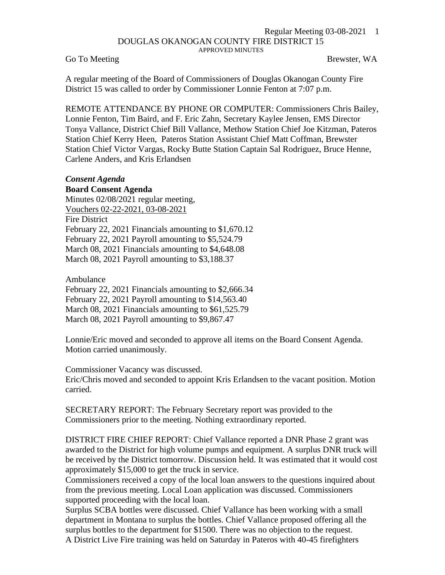## Regular Meeting 03-08-2021 1 DOUGLAS OKANOGAN COUNTY FIRE DISTRICT 15 APPROVED MINUTES

Go To Meeting Brewster, WA

A regular meeting of the Board of Commissioners of Douglas Okanogan County Fire District 15 was called to order by Commissioner Lonnie Fenton at 7:07 p.m.

REMOTE ATTENDANCE BY PHONE OR COMPUTER: Commissioners Chris Bailey, Lonnie Fenton, Tim Baird, and F. Eric Zahn, Secretary Kaylee Jensen, EMS Director Tonya Vallance, District Chief Bill Vallance, Methow Station Chief Joe Kitzman, Pateros Station Chief Kerry Heen, Pateros Station Assistant Chief Matt Coffman, Brewster Station Chief Victor Vargas, Rocky Butte Station Captain Sal Rodriguez, Bruce Henne, Carlene Anders, and Kris Erlandsen

## *Consent Agenda*

**Board Consent Agenda** Minutes 02/08/2021 regular meeting, Vouchers 02-22-2021, 03-08-2021 Fire District February 22, 2021 Financials amounting to \$1,670.12 February 22, 2021 Payroll amounting to \$5,524.79 March 08, 2021 Financials amounting to \$4,648.08 March 08, 2021 Payroll amounting to \$3,188.37

Ambulance February 22, 2021 Financials amounting to \$2,666.34 February 22, 2021 Payroll amounting to \$14,563.40 March 08, 2021 Financials amounting to \$61,525.79 March 08, 2021 Payroll amounting to \$9,867.47

Lonnie/Eric moved and seconded to approve all items on the Board Consent Agenda. Motion carried unanimously.

Commissioner Vacancy was discussed. Eric/Chris moved and seconded to appoint Kris Erlandsen to the vacant position. Motion carried.

SECRETARY REPORT: The February Secretary report was provided to the Commissioners prior to the meeting. Nothing extraordinary reported.

DISTRICT FIRE CHIEF REPORT: Chief Vallance reported a DNR Phase 2 grant was awarded to the District for high volume pumps and equipment. A surplus DNR truck will be received by the District tomorrow. Discussion held. It was estimated that it would cost approximately \$15,000 to get the truck in service.

Commissioners received a copy of the local loan answers to the questions inquired about from the previous meeting. Local Loan application was discussed. Commissioners supported proceeding with the local loan.

Surplus SCBA bottles were discussed. Chief Vallance has been working with a small department in Montana to surplus the bottles. Chief Vallance proposed offering all the surplus bottles to the department for \$1500. There was no objection to the request. A District Live Fire training was held on Saturday in Pateros with 40-45 firefighters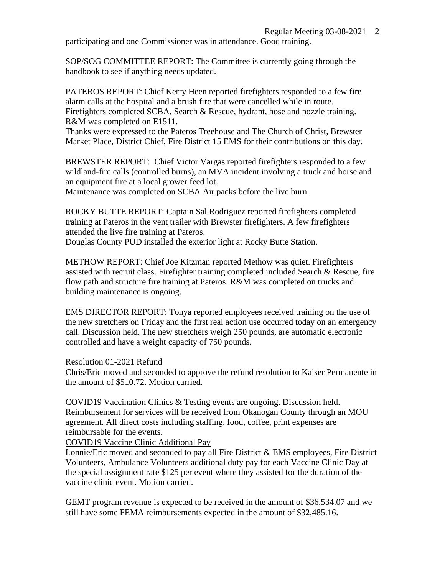participating and one Commissioner was in attendance. Good training.

SOP/SOG COMMITTEE REPORT: The Committee is currently going through the handbook to see if anything needs updated.

PATEROS REPORT: Chief Kerry Heen reported firefighters responded to a few fire alarm calls at the hospital and a brush fire that were cancelled while in route. Firefighters completed SCBA, Search & Rescue, hydrant, hose and nozzle training. R&M was completed on E1511.

Thanks were expressed to the Pateros Treehouse and The Church of Christ, Brewster Market Place, District Chief, Fire District 15 EMS for their contributions on this day.

BREWSTER REPORT: Chief Victor Vargas reported firefighters responded to a few wildland-fire calls (controlled burns), an MVA incident involving a truck and horse and an equipment fire at a local grower feed lot.

Maintenance was completed on SCBA Air packs before the live burn.

ROCKY BUTTE REPORT: Captain Sal Rodriguez reported firefighters completed training at Pateros in the vent trailer with Brewster firefighters. A few firefighters attended the live fire training at Pateros.

Douglas County PUD installed the exterior light at Rocky Butte Station.

METHOW REPORT: Chief Joe Kitzman reported Methow was quiet. Firefighters assisted with recruit class. Firefighter training completed included Search & Rescue, fire flow path and structure fire training at Pateros. R&M was completed on trucks and building maintenance is ongoing.

EMS DIRECTOR REPORT: Tonya reported employees received training on the use of the new stretchers on Friday and the first real action use occurred today on an emergency call. Discussion held. The new stretchers weigh 250 pounds, are automatic electronic controlled and have a weight capacity of 750 pounds.

Resolution 01-2021 Refund

Chris/Eric moved and seconded to approve the refund resolution to Kaiser Permanente in the amount of \$510.72. Motion carried.

COVID19 Vaccination Clinics & Testing events are ongoing. Discussion held. Reimbursement for services will be received from Okanogan County through an MOU agreement. All direct costs including staffing, food, coffee, print expenses are reimbursable for the events.

COVID19 Vaccine Clinic Additional Pay

Lonnie/Eric moved and seconded to pay all Fire District & EMS employees, Fire District Volunteers, Ambulance Volunteers additional duty pay for each Vaccine Clinic Day at the special assignment rate \$125 per event where they assisted for the duration of the vaccine clinic event. Motion carried.

GEMT program revenue is expected to be received in the amount of \$36,534.07 and we still have some FEMA reimbursements expected in the amount of \$32,485.16.